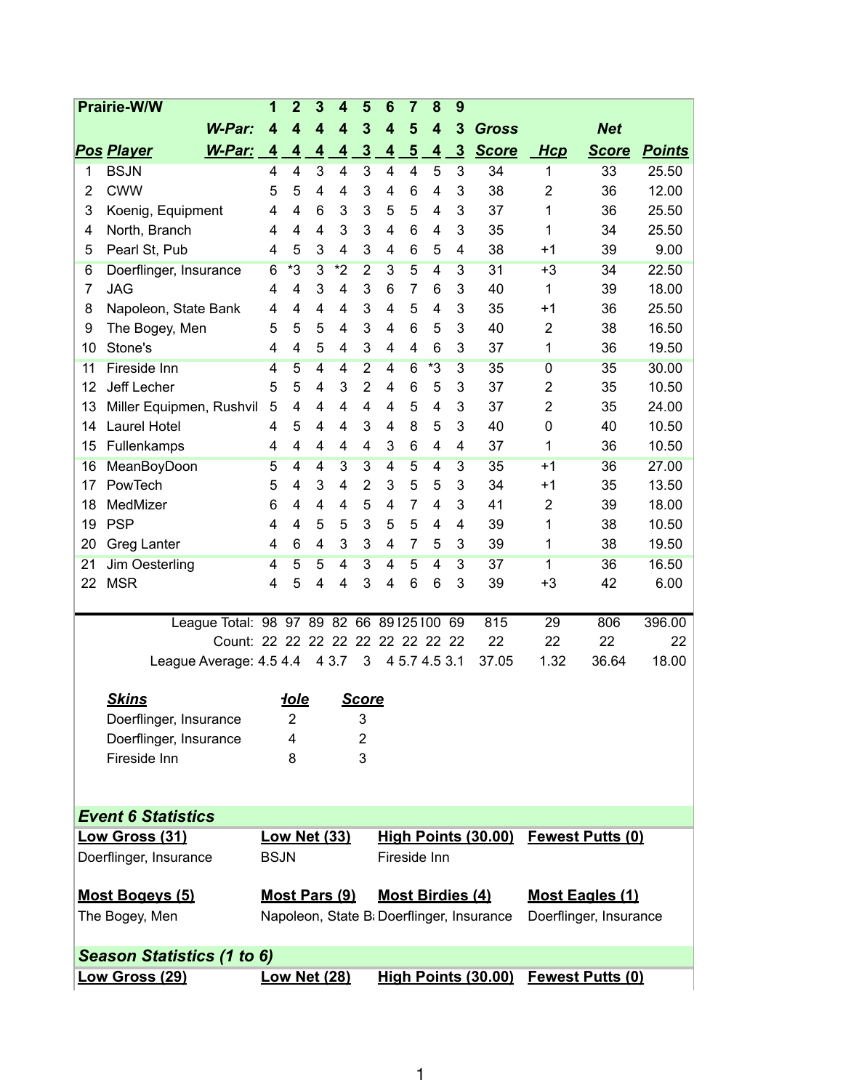| 3<br><b>W-Par:</b><br>5<br>3<br><b>Net</b><br>4<br>4<br>4<br>4<br>4<br><b>Gross</b><br>4<br>$\overline{3}$<br><b>Score</b><br><b>Pos Player</b><br>$\overline{5}$<br>$\overline{3}$<br>W-Par:<br>$\overline{\mathbf{4}}$<br>$\overline{\mathbf{4}}$<br>$\overline{4}$<br>$\overline{\mathbf{4}}$<br>$\overline{4}$<br>$\overline{4}$<br><b>Score</b><br>Hcp<br><b>Points</b><br><b>BSJN</b><br>3<br>3<br>5<br>4<br>4<br>4<br>4<br>4<br>3<br>34<br>33<br>25.50<br>1<br>1<br><b>CWW</b><br>3<br>12.00<br>5<br>6<br>3<br>38<br>2<br>36<br>2<br>5<br>4<br>4<br>4<br>4<br>3<br>3<br>6<br>3<br>5<br>5<br>3<br>37<br>1<br>25.50<br>Koenig, Equipment<br>4<br>4<br>4<br>36<br>3<br>North, Branch<br>3<br>3<br>25.50<br>4<br>4<br>4<br>6<br>4<br>35<br>1<br>34<br>4<br>4 |  |  |  |
|-----------------------------------------------------------------------------------------------------------------------------------------------------------------------------------------------------------------------------------------------------------------------------------------------------------------------------------------------------------------------------------------------------------------------------------------------------------------------------------------------------------------------------------------------------------------------------------------------------------------------------------------------------------------------------------------------------------------------------------------------------------------|--|--|--|
|                                                                                                                                                                                                                                                                                                                                                                                                                                                                                                                                                                                                                                                                                                                                                                 |  |  |  |
|                                                                                                                                                                                                                                                                                                                                                                                                                                                                                                                                                                                                                                                                                                                                                                 |  |  |  |
|                                                                                                                                                                                                                                                                                                                                                                                                                                                                                                                                                                                                                                                                                                                                                                 |  |  |  |
|                                                                                                                                                                                                                                                                                                                                                                                                                                                                                                                                                                                                                                                                                                                                                                 |  |  |  |
|                                                                                                                                                                                                                                                                                                                                                                                                                                                                                                                                                                                                                                                                                                                                                                 |  |  |  |
|                                                                                                                                                                                                                                                                                                                                                                                                                                                                                                                                                                                                                                                                                                                                                                 |  |  |  |
| Pearl St, Pub<br>3<br>5<br>3<br>6<br>38<br>39<br>9.00<br>4<br>4<br>5<br>4<br>$+1$<br>5<br>4                                                                                                                                                                                                                                                                                                                                                                                                                                                                                                                                                                                                                                                                     |  |  |  |
| $*3$<br>$*2$<br>31<br>22.50<br>3<br>$\overline{2}$<br>3<br>5<br>$\overline{3}$<br>34<br>Doerflinger, Insurance<br>4<br>$+3$<br>6<br>6                                                                                                                                                                                                                                                                                                                                                                                                                                                                                                                                                                                                                           |  |  |  |
| 3<br><b>JAG</b><br>3<br>4<br>6<br>7<br>3<br>40<br>39<br>18.00<br>7<br>4<br>4<br>6<br>1                                                                                                                                                                                                                                                                                                                                                                                                                                                                                                                                                                                                                                                                          |  |  |  |
| Napoleon, State Bank<br>3<br>5<br>25.50<br>8<br>4<br>4<br>4<br>4<br>4<br>4<br>3<br>35<br>36<br>$+1$                                                                                                                                                                                                                                                                                                                                                                                                                                                                                                                                                                                                                                                             |  |  |  |
| 3<br>5<br>6<br>3<br>40<br>2<br>38<br>16.50<br>9<br>The Bogey, Men<br>5<br>5<br>4<br>4<br>5                                                                                                                                                                                                                                                                                                                                                                                                                                                                                                                                                                                                                                                                      |  |  |  |
| 5<br>3<br>Stone's<br>6<br>3<br>37<br>1<br>19.50<br>10<br>4<br>4<br>4<br>4<br>36<br>4                                                                                                                                                                                                                                                                                                                                                                                                                                                                                                                                                                                                                                                                            |  |  |  |
| <b>Fireside Inn</b><br>$\overline{2}$<br>$*3$<br>30.00<br>11<br>5<br>4<br>$6\overline{6}$<br>$\overline{3}$<br>35<br>$\overline{0}$<br>$\overline{4}$<br>4<br>35<br>4                                                                                                                                                                                                                                                                                                                                                                                                                                                                                                                                                                                           |  |  |  |
| Jeff Lecher<br>$\overline{2}$<br>12<br>5<br>3<br>6<br>5<br>3<br>37<br>10.50<br>5<br>4<br>4<br>2<br>35                                                                                                                                                                                                                                                                                                                                                                                                                                                                                                                                                                                                                                                           |  |  |  |
| 13<br>$\overline{4}$<br>3<br>2<br>24.00<br>Miller Equipmen, Rushvil<br>5<br>4<br>4<br>4<br>4<br>5<br>4<br>37<br>35                                                                                                                                                                                                                                                                                                                                                                                                                                                                                                                                                                                                                                              |  |  |  |
| 3<br>Laurel Hotel<br>5<br>8<br>5<br>3<br>0<br>10.50<br>14<br>4<br>4<br>4<br>4<br>40<br>40                                                                                                                                                                                                                                                                                                                                                                                                                                                                                                                                                                                                                                                                       |  |  |  |
| Fullenkamps<br>3<br>6<br>37<br>1<br>10.50<br>15<br>4<br>4<br>4<br>4<br>4<br>4<br>36<br>4                                                                                                                                                                                                                                                                                                                                                                                                                                                                                                                                                                                                                                                                        |  |  |  |
| <b>MeanBoyDoon</b><br>$\overline{3}$<br>3<br>5<br>$\overline{3}$<br>35<br>27.00<br>16<br>5<br>4<br>4<br>4<br>4<br>$+1$<br>36                                                                                                                                                                                                                                                                                                                                                                                                                                                                                                                                                                                                                                    |  |  |  |
| PowTech<br>3<br>4<br>$\overline{2}$<br>3<br>5<br>3<br>13.50<br>17<br>5<br>4<br>5<br>34<br>$+1$<br>35                                                                                                                                                                                                                                                                                                                                                                                                                                                                                                                                                                                                                                                            |  |  |  |
| 5<br>7<br>MedMizer<br>3<br>2<br>18.00<br>18<br>6<br>4<br>4<br>4<br>4<br>4<br>41<br>39                                                                                                                                                                                                                                                                                                                                                                                                                                                                                                                                                                                                                                                                           |  |  |  |
| <b>PSP</b><br>3<br>19<br>5<br>5<br>5<br>5<br>39<br>1<br>38<br>10.50<br>4<br>4<br>4<br>4                                                                                                                                                                                                                                                                                                                                                                                                                                                                                                                                                                                                                                                                         |  |  |  |
| 3<br>6<br>4<br>3<br>7<br>5<br>3<br>19.50<br>20<br>Greg Lanter<br>4<br>39<br>1<br>38<br>4                                                                                                                                                                                                                                                                                                                                                                                                                                                                                                                                                                                                                                                                        |  |  |  |
| Jim Oesterling<br>3<br>37<br>1<br>36<br>16.50<br>21<br>4<br>5<br>5<br>4<br>4<br>5<br>4<br>3                                                                                                                                                                                                                                                                                                                                                                                                                                                                                                                                                                                                                                                                     |  |  |  |
| <b>MSR</b><br>5<br>3<br>6<br>6<br>3<br>6.00<br>22<br>4<br>4<br>4<br>39<br>$+3$<br>42<br>4                                                                                                                                                                                                                                                                                                                                                                                                                                                                                                                                                                                                                                                                       |  |  |  |
|                                                                                                                                                                                                                                                                                                                                                                                                                                                                                                                                                                                                                                                                                                                                                                 |  |  |  |
| League Total: 98 97 89 82 66 89 125 100<br>$\overline{29}$<br>806<br>396.00<br>69<br>815                                                                                                                                                                                                                                                                                                                                                                                                                                                                                                                                                                                                                                                                        |  |  |  |
| Count: 22 22 22 22<br>22<br>22<br>22<br>22<br>22 22 22 22<br>22                                                                                                                                                                                                                                                                                                                                                                                                                                                                                                                                                                                                                                                                                                 |  |  |  |
| League Average: 4.5 4.4<br>4 3.7<br>3<br>4 5.7 4.5 3.1<br>37.05<br>1.32<br>36.64<br>18.00                                                                                                                                                                                                                                                                                                                                                                                                                                                                                                                                                                                                                                                                       |  |  |  |
|                                                                                                                                                                                                                                                                                                                                                                                                                                                                                                                                                                                                                                                                                                                                                                 |  |  |  |
| <b>Skins</b><br><b>Score</b><br><u>iole</u>                                                                                                                                                                                                                                                                                                                                                                                                                                                                                                                                                                                                                                                                                                                     |  |  |  |
| Doerflinger, Insurance<br>2<br>3                                                                                                                                                                                                                                                                                                                                                                                                                                                                                                                                                                                                                                                                                                                                |  |  |  |
| Doerflinger, Insurance<br>4<br>$\overline{2}$                                                                                                                                                                                                                                                                                                                                                                                                                                                                                                                                                                                                                                                                                                                   |  |  |  |
| 3<br>Fireside Inn<br>8                                                                                                                                                                                                                                                                                                                                                                                                                                                                                                                                                                                                                                                                                                                                          |  |  |  |
|                                                                                                                                                                                                                                                                                                                                                                                                                                                                                                                                                                                                                                                                                                                                                                 |  |  |  |
| <b>Event 6 Statistics</b>                                                                                                                                                                                                                                                                                                                                                                                                                                                                                                                                                                                                                                                                                                                                       |  |  |  |
| <b>Low Net (33)</b><br>High Points (30.00)<br><b>Fewest Putts (0)</b><br>Low Gross (31)                                                                                                                                                                                                                                                                                                                                                                                                                                                                                                                                                                                                                                                                         |  |  |  |
| <b>BSJN</b><br>Fireside Inn<br>Doerflinger, Insurance                                                                                                                                                                                                                                                                                                                                                                                                                                                                                                                                                                                                                                                                                                           |  |  |  |
|                                                                                                                                                                                                                                                                                                                                                                                                                                                                                                                                                                                                                                                                                                                                                                 |  |  |  |
| <b>Most Bogeys (5)</b><br><b>Most Pars (9)</b><br><b>Most Birdies (4)</b><br><b>Most Eagles (1)</b>                                                                                                                                                                                                                                                                                                                                                                                                                                                                                                                                                                                                                                                             |  |  |  |
| The Bogey, Men<br>Napoleon, State B: Doerflinger, Insurance<br>Doerflinger, Insurance                                                                                                                                                                                                                                                                                                                                                                                                                                                                                                                                                                                                                                                                           |  |  |  |
|                                                                                                                                                                                                                                                                                                                                                                                                                                                                                                                                                                                                                                                                                                                                                                 |  |  |  |
| Season Statistics (1 to 6)                                                                                                                                                                                                                                                                                                                                                                                                                                                                                                                                                                                                                                                                                                                                      |  |  |  |
| <u> Low Gross (29)</u><br><b>Low Net (28)</b><br>High Points (30.00)<br><b>Fewest Putts (0)</b>                                                                                                                                                                                                                                                                                                                                                                                                                                                                                                                                                                                                                                                                 |  |  |  |